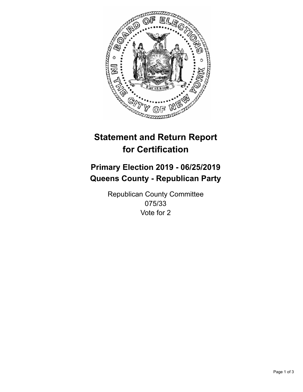

## **Statement and Return Report for Certification**

## **Primary Election 2019 - 06/25/2019 Queens County - Republican Party**

Republican County Committee 075/33 Vote for 2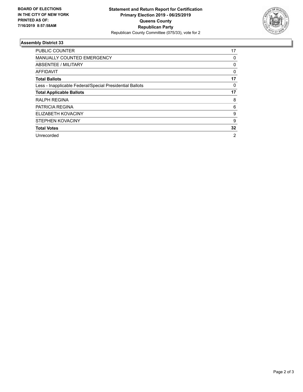

## **Assembly District 33**

| <b>PUBLIC COUNTER</b>                                    | 17       |
|----------------------------------------------------------|----------|
| <b>MANUALLY COUNTED EMERGENCY</b>                        | 0        |
| ABSENTEE / MILITARY                                      | 0        |
| AFFIDAVIT                                                | $\Omega$ |
| <b>Total Ballots</b>                                     | 17       |
| Less - Inapplicable Federal/Special Presidential Ballots | 0        |
| <b>Total Applicable Ballots</b>                          | 17       |
| <b>RALPH REGINA</b>                                      | 8        |
| <b>PATRICIA REGINA</b>                                   | 6        |
| ELIZABETH KOVACINY                                       | 9        |
| <b>STEPHEN KOVACINY</b>                                  | 9        |
| <b>Total Votes</b>                                       | 32       |
| Unrecorded                                               | 2        |